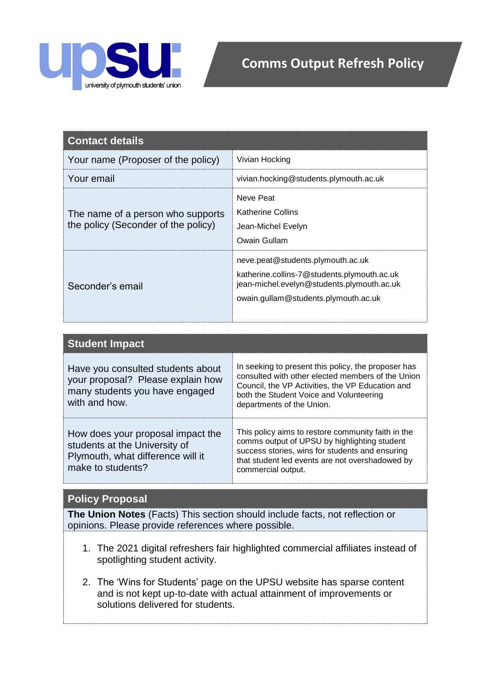

| <b>Contact details</b>                                                   |                                                                                                                                                                        |
|--------------------------------------------------------------------------|------------------------------------------------------------------------------------------------------------------------------------------------------------------------|
| Your name (Proposer of the policy)                                       | Vivian Hocking                                                                                                                                                         |
| Your email                                                               | vivian.hocking@students.plymouth.ac.uk                                                                                                                                 |
| The name of a person who supports<br>the policy (Seconder of the policy) | Neve Peat<br><b>Katherine Collins</b><br>Jean-Michel Evelyn<br>Owain Gullam                                                                                            |
| Seconder's email                                                         | neve.peat@students.plymouth.ac.uk<br>katherine.collins-7@students.plymouth.ac.uk<br>jean-michel.evelyn@students.plymouth.ac.uk<br>owain.gullam@students.plymouth.ac.uk |

| <b>Student Impact</b>                                                                                                        |                                                                                                                                                                                                                                      |
|------------------------------------------------------------------------------------------------------------------------------|--------------------------------------------------------------------------------------------------------------------------------------------------------------------------------------------------------------------------------------|
| Have you consulted students about<br>your proposal? Please explain how<br>many students you have engaged<br>with and how.    | In seeking to present this policy, the proposer has<br>consulted with other elected members of the Union<br>Council, the VP Activities, the VP Education and<br>both the Student Voice and Volunteering<br>departments of the Union. |
| How does your proposal impact the<br>students at the University of<br>Plymouth, what difference will it<br>make to students? | This policy aims to restore community faith in the<br>comms output of UPSU by highlighting student<br>success stories, wins for students and ensuring<br>that student led events are not overshadowed by<br>commercial output.       |

## **Policy Proposal**

**The Union Notes** (Facts) This section should include facts, not reflection or opinions. Please provide references where possible.

- 1. The 2021 digital refreshers fair highlighted commercial affiliates instead of spotlighting student activity.
- 2. The 'Wins for Students' page on the UPSU website has sparse content and is not kept up-to-date with actual attainment of improvements or solutions delivered for students.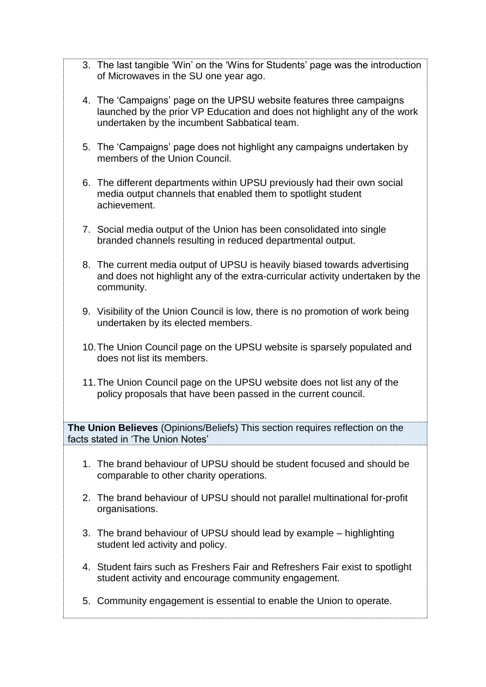- 3. The last tangible 'Win' on the 'Wins for Students' page was the introduction of Microwaves in the SU one year ago.
- 4. The 'Campaigns' page on the UPSU website features three campaigns launched by the prior VP Education and does not highlight any of the work undertaken by the incumbent Sabbatical team.
- 5. The 'Campaigns' page does not highlight any campaigns undertaken by members of the Union Council.
- 6. The different departments within UPSU previously had their own social media output channels that enabled them to spotlight student achievement.
- 7. Social media output of the Union has been consolidated into single branded channels resulting in reduced departmental output.
- 8. The current media output of UPSU is heavily biased towards advertising and does not highlight any of the extra-curricular activity undertaken by the community.
- 9. Visibility of the Union Council is low, there is no promotion of work being undertaken by its elected members.
- 10.The Union Council page on the UPSU website is sparsely populated and does not list its members.
- 11.The Union Council page on the UPSU website does not list any of the policy proposals that have been passed in the current council.

**The Union Believes** (Opinions/Beliefs) This section requires reflection on the facts stated in 'The Union Notes'

- 1. The brand behaviour of UPSU should be student focused and should be comparable to other charity operations.
- 2. The brand behaviour of UPSU should not parallel multinational for-profit organisations.
- 3. The brand behaviour of UPSU should lead by example highlighting student led activity and policy.
- 4. Student fairs such as Freshers Fair and Refreshers Fair exist to spotlight student activity and encourage community engagement.
- 5. Community engagement is essential to enable the Union to operate.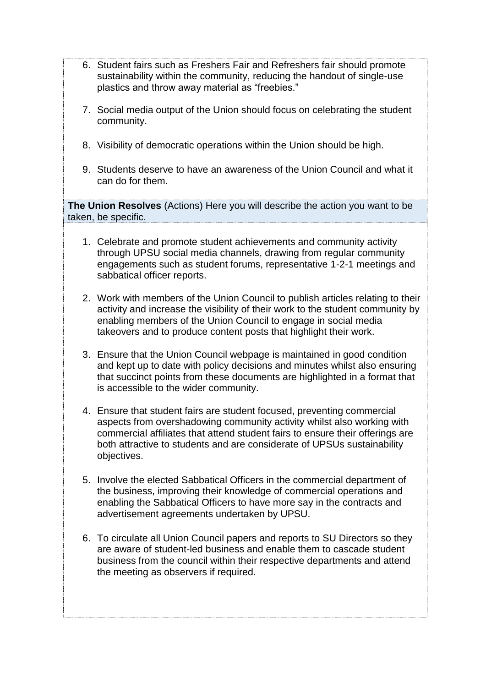- 6. Student fairs such as Freshers Fair and Refreshers fair should promote sustainability within the community, reducing the handout of single-use plastics and throw away material as "freebies."
- 7. Social media output of the Union should focus on celebrating the student community.
- 8. Visibility of democratic operations within the Union should be high.
- 9. Students deserve to have an awareness of the Union Council and what it can do for them.

**The Union Resolves** (Actions) Here you will describe the action you want to be taken, be specific.

- 1. Celebrate and promote student achievements and community activity through UPSU social media channels, drawing from regular community engagements such as student forums, representative 1-2-1 meetings and sabbatical officer reports.
- 2. Work with members of the Union Council to publish articles relating to their activity and increase the visibility of their work to the student community by enabling members of the Union Council to engage in social media takeovers and to produce content posts that highlight their work.
- 3. Ensure that the Union Council webpage is maintained in good condition and kept up to date with policy decisions and minutes whilst also ensuring that succinct points from these documents are highlighted in a format that is accessible to the wider community.
- 4. Ensure that student fairs are student focused, preventing commercial aspects from overshadowing community activity whilst also working with commercial affiliates that attend student fairs to ensure their offerings are both attractive to students and are considerate of UPSUs sustainability objectives.
- 5. Involve the elected Sabbatical Officers in the commercial department of the business, improving their knowledge of commercial operations and enabling the Sabbatical Officers to have more say in the contracts and advertisement agreements undertaken by UPSU.
- 6. To circulate all Union Council papers and reports to SU Directors so they are aware of student-led business and enable them to cascade student business from the council within their respective departments and attend the meeting as observers if required.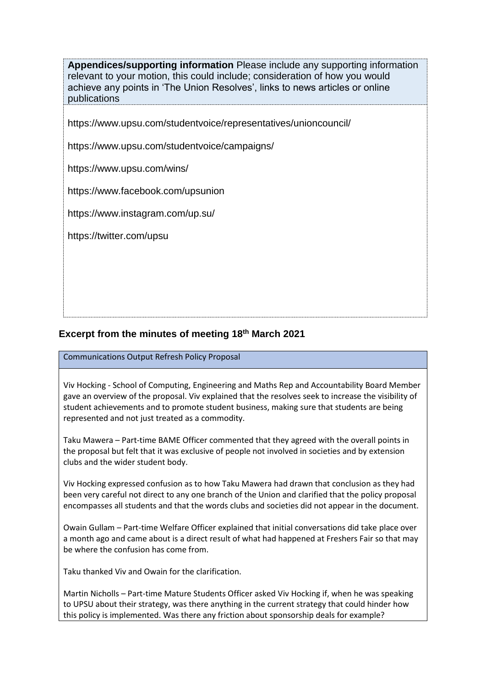**Appendices/supporting information** Please include any supporting information relevant to your motion, this could include; consideration of how you would achieve any points in 'The Union Resolves', links to news articles or online publications

https://www.upsu.com/studentvoice/representatives/unioncouncil/

https://www.upsu.com/studentvoice/campaigns/

https://www.upsu.com/wins/

https://www.facebook.com/upsunion

https://www.instagram.com/up.su/

https://twitter.com/upsu

## **Excerpt from the minutes of meeting 18th March 2021**

Communications Output Refresh Policy Proposal

Viv Hocking - School of Computing, Engineering and Maths Rep and Accountability Board Member gave an overview of the proposal. Viv explained that the resolves seek to increase the visibility of student achievements and to promote student business, making sure that students are being represented and not just treated as a commodity.

Taku Mawera – Part-time BAME Officer commented that they agreed with the overall points in the proposal but felt that it was exclusive of people not involved in societies and by extension clubs and the wider student body.

Viv Hocking expressed confusion as to how Taku Mawera had drawn that conclusion as they had been very careful not direct to any one branch of the Union and clarified that the policy proposal encompasses all students and that the words clubs and societies did not appear in the document.

Owain Gullam – Part-time Welfare Officer explained that initial conversations did take place over a month ago and came about is a direct result of what had happened at Freshers Fair so that may be where the confusion has come from.

Taku thanked Viv and Owain for the clarification.

Martin Nicholls – Part-time Mature Students Officer asked Viv Hocking if, when he was speaking to UPSU about their strategy, was there anything in the current strategy that could hinder how this policy is implemented. Was there any friction about sponsorship deals for example?